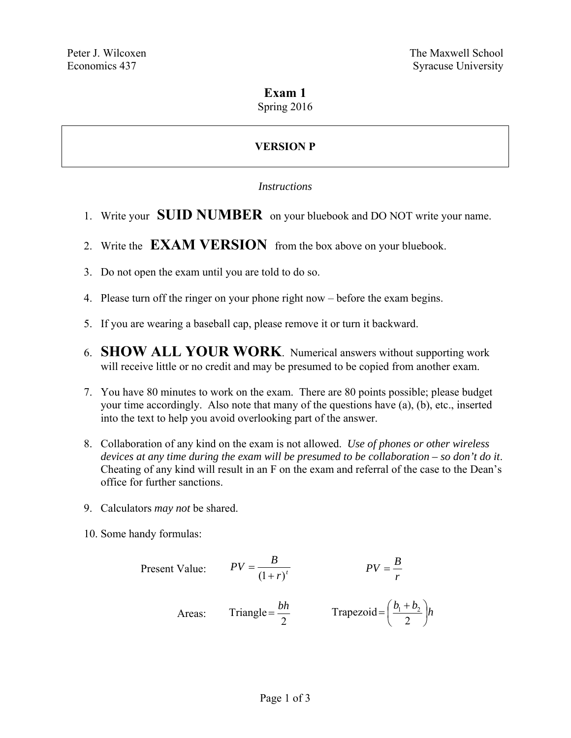## **Exam 1**

### Spring 2016

# **VERSION P**

#### *Instructions*

- 1. Write your **SUID NUMBER** on your bluebook and DO NOT write your name.
- 2. Write the **EXAM VERSION** from the box above on your bluebook.
- 3. Do not open the exam until you are told to do so.
- 4. Please turn off the ringer on your phone right now before the exam begins.
- 5. If you are wearing a baseball cap, please remove it or turn it backward.
- 6. **SHOW ALL YOUR WORK**. Numerical answers without supporting work will receive little or no credit and may be presumed to be copied from another exam.
- 7. You have 80 minutes to work on the exam. There are 80 points possible; please budget your time accordingly. Also note that many of the questions have (a), (b), etc., inserted into the text to help you avoid overlooking part of the answer.
- 8. Collaboration of any kind on the exam is not allowed. *Use of phones or other wireless devices at any time during the exam will be presumed to be collaboration – so don't do it*. Cheating of any kind will result in an F on the exam and referral of the case to the Dean's office for further sanctions.
- 9. Calculators *may not* be shared.
- 10. Some handy formulas:

Present Value: 
$$
PV = \frac{B}{(1+r)^t}
$$
  $PV = \frac{B}{r}$   
Areas: Triangle =  $\frac{bh}{2}$  Trapezoid =  $(\frac{b_1 + b_2}{2})h$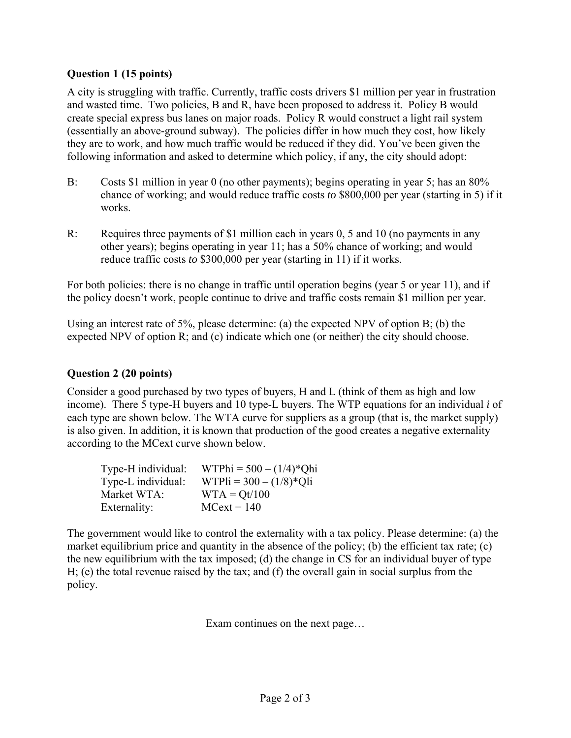### **Question 1 (15 points)**

A city is struggling with traffic. Currently, traffic costs drivers \$1 million per year in frustration and wasted time. Two policies, B and R, have been proposed to address it. Policy B would create special express bus lanes on major roads. Policy R would construct a light rail system (essentially an above-ground subway). The policies differ in how much they cost, how likely they are to work, and how much traffic would be reduced if they did. You've been given the following information and asked to determine which policy, if any, the city should adopt:

- B: Costs \$1 million in year 0 (no other payments); begins operating in year 5; has an 80% chance of working; and would reduce traffic costs *to* \$800,000 per year (starting in 5) if it works.
- R: Requires three payments of \$1 million each in years 0, 5 and 10 (no payments in any other years); begins operating in year 11; has a 50% chance of working; and would reduce traffic costs *to* \$300,000 per year (starting in 11) if it works.

For both policies: there is no change in traffic until operation begins (year 5 or year 11), and if the policy doesn't work, people continue to drive and traffic costs remain \$1 million per year.

Using an interest rate of 5%, please determine: (a) the expected NPV of option B; (b) the expected NPV of option R; and (c) indicate which one (or neither) the city should choose.

### **Question 2 (20 points)**

Consider a good purchased by two types of buyers, H and L (think of them as high and low income). There 5 type-H buyers and 10 type-L buyers. The WTP equations for an individual *i* of each type are shown below. The WTA curve for suppliers as a group (that is, the market supply) is also given. In addition, it is known that production of the good creates a negative externality according to the MCext curve shown below.

| Type-H individual: | WTPhi = $500 - (1/4)*Q$ hi |
|--------------------|----------------------------|
| Type-L individual: | WTPIi = $300 - (1/8)*Q$ li |
| Market WTA:        | $WTA = Qt/100$             |
| Externality:       | $MCext = 140$              |

The government would like to control the externality with a tax policy. Please determine: (a) the market equilibrium price and quantity in the absence of the policy; (b) the efficient tax rate; (c) the new equilibrium with the tax imposed; (d) the change in CS for an individual buyer of type H; (e) the total revenue raised by the tax; and (f) the overall gain in social surplus from the policy.

Exam continues on the next page…